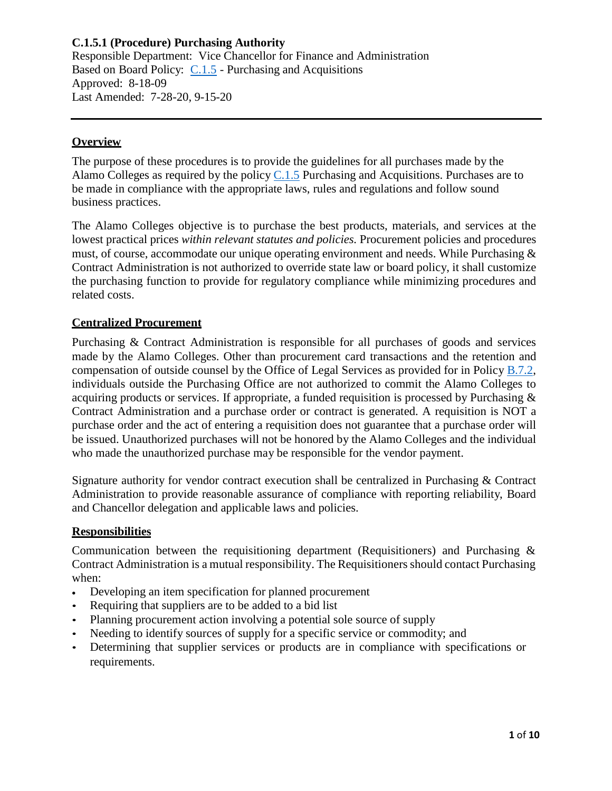Responsible Department: Vice Chancellor for Finance and Administration Based on Board Policy: [C.1.5](https://www.alamo.edu/siteassets/district/about-us/leadership/board-of-trustees/policies-pdfs/section-c/c.1.5-policy.pdf) - Purchasing and Acquisitions Approved: 8-18-09 Last Amended: 7-28-20, 9-15-20

## **Overview**

The purpose of these procedures is to provide the guidelines for all purchases made by the Alamo Colleges as required by the policy  $C.1.5$  Purchasing and Acquisitions. Purchases are to be made in compliance with the appropriate laws, rules and regulations and follow sound business practices.

The Alamo Colleges objective is to purchase the best products, materials, and services at the lowest practical prices *within relevant statutes and policies.* Procurement policies and procedures must, of course, accommodate our unique operating environment and needs. While Purchasing & Contract Administration is not authorized to override state law or board policy, it shall customize the purchasing function to provide for regulatory compliance while minimizing procedures and related costs.

### **Centralized Procurement**

Purchasing & Contract Administration is responsible for all purchases of goods and services made by the Alamo Colleges. Other than procurement card transactions and the retention and compensation of outside counsel by the Office of Legal Services as provided for in Policy [B.7.2,](https://www.alamo.edu/siteassets/district/about-us/leadership/board-of-trustees/policies-pdfs/section-b/b.7.2-policy.pdf) individuals outside the Purchasing Office are not authorized to commit the Alamo Colleges to acquiring products or services. If appropriate, a funded requisition is processed by Purchasing & Contract Administration and a purchase order or contract is generated. A requisition is NOT a purchase order and the act of entering a requisition does not guarantee that a purchase order will be issued. Unauthorized purchases will not be honored by the Alamo Colleges and the individual who made the unauthorized purchase may be responsible for the vendor payment.

Signature authority for vendor contract execution shall be centralized in Purchasing & Contract Administration to provide reasonable assurance of compliance with reporting reliability, Board and Chancellor delegation and applicable laws and policies.

### **Responsibilities**

Communication between the requisitioning department (Requisitioners) and Purchasing  $\&$ Contract Administration is a mutual responsibility. The Requisitioners should contact Purchasing when:

- Developing an item specification for planned procurement
- Requiring that suppliers are to be added to a bid list
- Planning procurement action involving a potential sole source of supply
- Needing to identify sources of supply for a specific service or commodity; and
- Determining that supplier services or products are in compliance with specifications or requirements.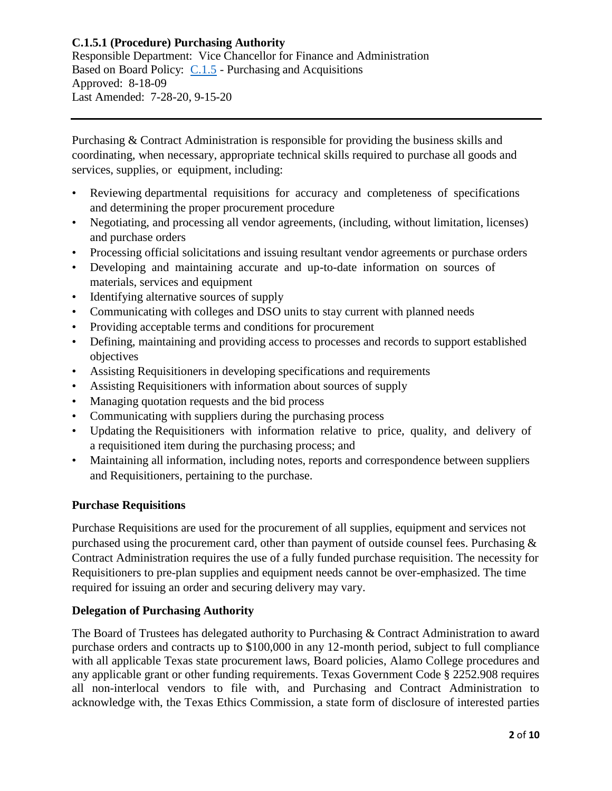Responsible Department: Vice Chancellor for Finance and Administration Based on Board Policy: [C.1.5](https://www.alamo.edu/siteassets/district/about-us/leadership/board-of-trustees/policies-pdfs/section-c/c.1.5-policy.pdf) - Purchasing and Acquisitions Approved: 8-18-09 Last Amended: 7-28-20, 9-15-20

Purchasing & Contract Administration is responsible for providing the business skills and coordinating, when necessary, appropriate technical skills required to purchase all goods and services, supplies, or equipment, including:

- Reviewing departmental requisitions for accuracy and completeness of specifications and determining the proper procurement procedure
- Negotiating, and processing all vendor agreements, (including, without limitation, licenses) and purchase orders
- Processing official solicitations and issuing resultant vendor agreements or purchase orders
- Developing and maintaining accurate and up-to-date information on sources of materials, services and equipment
- Identifying alternative sources of supply
- Communicating with colleges and DSO units to stay current with planned needs
- Providing acceptable terms and conditions for procurement
- Defining, maintaining and providing access to processes and records to support established objectives
- Assisting Requisitioners in developing specifications and requirements
- Assisting Requisitioners with information about sources of supply
- Managing quotation requests and the bid process
- Communicating with suppliers during the purchasing process
- Updating the Requisitioners with information relative to price, quality, and delivery of a requisitioned item during the purchasing process; and
- Maintaining all information, including notes, reports and correspondence between suppliers and Requisitioners, pertaining to the purchase.

# **Purchase Requisitions**

Purchase Requisitions are used for the procurement of all supplies, equipment and services not purchased using the procurement card, other than payment of outside counsel fees. Purchasing & Contract Administration requires the use of a fully funded purchase requisition. The necessity for Requisitioners to pre-plan supplies and equipment needs cannot be over-emphasized. The time required for issuing an order and securing delivery may vary.

# **Delegation of Purchasing Authority**

The Board of Trustees has delegated authority to Purchasing & Contract Administration to award purchase orders and contracts up to \$100,000 in any 12-month period, subject to full compliance with all applicable Texas state procurement laws, Board policies, Alamo College procedures and any applicable grant or other funding requirements. Texas Government Code § 2252.908 requires all non-interlocal vendors to file with, and Purchasing and Contract Administration to acknowledge with, the Texas Ethics Commission, a state form of disclosure of interested parties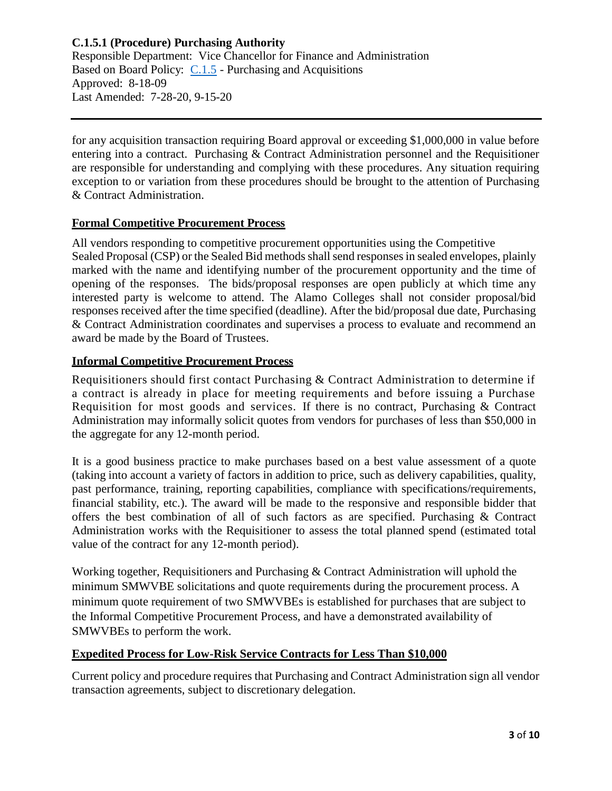Responsible Department: Vice Chancellor for Finance and Administration Based on Board Policy: [C.1.5](https://www.alamo.edu/siteassets/district/about-us/leadership/board-of-trustees/policies-pdfs/section-c/c.1.5-policy.pdf) - Purchasing and Acquisitions Approved: 8-18-09 Last Amended: 7-28-20, 9-15-20

for any acquisition transaction requiring Board approval or exceeding \$1,000,000 in value before entering into a contract. Purchasing & Contract Administration personnel and the Requisitioner are responsible for understanding and complying with these procedures. Any situation requiring exception to or variation from these procedures should be brought to the attention of Purchasing & Contract Administration.

### **Formal Competitive Procurement Process**

All vendors responding to competitive procurement opportunities using the Competitive Sealed Proposal (CSP) or the Sealed Bid methods shall send responses in sealed envelopes, plainly marked with the name and identifying number of the procurement opportunity and the time of opening of the responses. The bids/proposal responses are open publicly at which time any interested party is welcome to attend. The Alamo Colleges shall not consider proposal/bid responses received after the time specified (deadline). After the bid/proposal due date, Purchasing & Contract Administration coordinates and supervises a process to evaluate and recommend an award be made by the Board of Trustees.

# **Informal Competitive Procurement Process**

Requisitioners should first contact Purchasing & Contract Administration to determine if a contract is already in place for meeting requirements and before issuing a Purchase Requisition for most goods and services. If there is no contract, Purchasing & Contract Administration may informally solicit quotes from vendors for purchases of less than \$50,000 in the aggregate for any 12-month period.

It is a good business practice to make purchases based on a best value assessment of a quote (taking into account a variety of factors in addition to price, such as delivery capabilities, quality, past performance, training, reporting capabilities, compliance with specifications/requirements, financial stability, etc.). The award will be made to the responsive and responsible bidder that offers the best combination of all of such factors as are specified. Purchasing & Contract Administration works with the Requisitioner to assess the total planned spend (estimated total value of the contract for any 12-month period).

Working together, Requisitioners and Purchasing & Contract Administration will uphold the minimum SMWVBE solicitations and quote requirements during the procurement process. A minimum quote requirement of two SMWVBEs is established for purchases that are subject to the Informal Competitive Procurement Process, and have a demonstrated availability of SMWVBEs to perform the work.

# **Expedited Process for Low-Risk Service Contracts for Less Than \$10,000**

Current policy and procedure requires that Purchasing and Contract Administration sign all vendor transaction agreements, subject to discretionary delegation.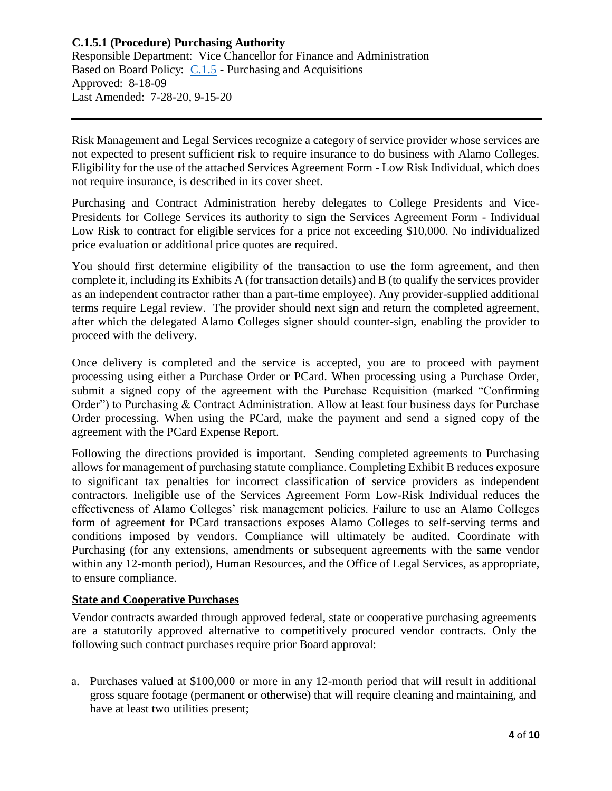Responsible Department: Vice Chancellor for Finance and Administration Based on Board Policy: [C.1.5](https://www.alamo.edu/siteassets/district/about-us/leadership/board-of-trustees/policies-pdfs/section-c/c.1.5-policy.pdf) - Purchasing and Acquisitions Approved: 8-18-09 Last Amended: 7-28-20, 9-15-20

Risk Management and Legal Services recognize a category of service provider whose services are not expected to present sufficient risk to require insurance to do business with Alamo Colleges. Eligibility for the use of the attached Services Agreement Form - Low Risk Individual, which does not require insurance, is described in its cover sheet.

Purchasing and Contract Administration hereby delegates to College Presidents and Vice-Presidents for College Services its authority to sign the Services Agreement Form - Individual Low Risk to contract for eligible services for a price not exceeding \$10,000. No individualized price evaluation or additional price quotes are required.

You should first determine eligibility of the transaction to use the form agreement, and then complete it, including its Exhibits A (for transaction details) and B (to qualify the services provider as an independent contractor rather than a part-time employee). Any provider-supplied additional terms require Legal review. The provider should next sign and return the completed agreement, after which the delegated Alamo Colleges signer should counter-sign, enabling the provider to proceed with the delivery.

Once delivery is completed and the service is accepted, you are to proceed with payment processing using either a Purchase Order or PCard. When processing using a Purchase Order, submit a signed copy of the agreement with the Purchase Requisition (marked "Confirming Order") to Purchasing & Contract Administration. Allow at least four business days for Purchase Order processing. When using the PCard, make the payment and send a signed copy of the agreement with the PCard Expense Report.

Following the directions provided is important. Sending completed agreements to Purchasing allows for management of purchasing statute compliance. Completing Exhibit B reduces exposure to significant tax penalties for incorrect classification of service providers as independent contractors. Ineligible use of the Services Agreement Form Low-Risk Individual reduces the effectiveness of Alamo Colleges' risk management policies. Failure to use an Alamo Colleges form of agreement for PCard transactions exposes Alamo Colleges to self-serving terms and conditions imposed by vendors. Compliance will ultimately be audited. Coordinate with Purchasing (for any extensions, amendments or subsequent agreements with the same vendor within any 12-month period), Human Resources, and the Office of Legal Services, as appropriate, to ensure compliance.

### **State and Cooperative Purchases**

Vendor contracts awarded through approved federal, state or cooperative purchasing agreements are a statutorily approved alternative to competitively procured vendor contracts. Only the following such contract purchases require prior Board approval:

a. Purchases valued at \$100,000 or more in any 12-month period that will result in additional gross square footage (permanent or otherwise) that will require cleaning and maintaining, and have at least two utilities present;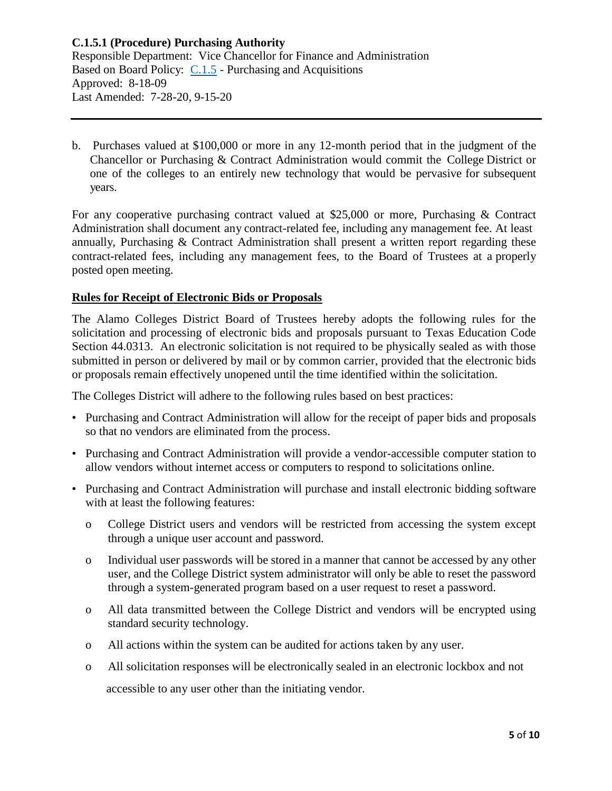Responsible Department: Vice Chancellor for Finance and Administration Based on Board Policy: [C.1.5](https://www.alamo.edu/siteassets/district/about-us/leadership/board-of-trustees/policies-pdfs/section-c/c.1.5-policy.pdf) - Purchasing and Acquisitions Approved: 8-18-09 Last Amended: 7-28-20, 9-15-20

b. Purchases valued at \$100,000 or more in any 12-month period that in the judgment of the Chancellor or Purchasing & Contract Administration would commit the College District or one of the colleges to an entirely new technology that would be pervasive for subsequent years.

For any cooperative purchasing contract valued at \$25,000 or more, Purchasing & Contract Administration shall document any contract-related fee, including any management fee. At least annually, Purchasing & Contract Administration shall present a written report regarding these contract-related fees, including any management fees, to the Board of Trustees at a properly posted open meeting.

### **Rules for Receipt of Electronic Bids or Proposals**

The Alamo Colleges District Board of Trustees hereby adopts the following rules for the solicitation and processing of electronic bids and proposals pursuant to Texas Education Code Section 44.0313. An electronic solicitation is not required to be physically sealed as with those submitted in person or delivered by mail or by common carrier, provided that the electronic bids or proposals remain effectively unopened until the time identified within the solicitation.

The Colleges District will adhere to the following rules based on best practices:

- Purchasing and Contract Administration will allow for the receipt of paper bids and proposals so that no vendors are eliminated from the process.
- Purchasing and Contract Administration will provide a vendor-accessible computer station to allow vendors without internet access or computers to respond to solicitations online.
- Purchasing and Contract Administration will purchase and install electronic bidding software with at least the following features:
	- o College District users and vendors will be restricted from accessing the system except through a unique user account and password.
	- o Individual user passwords will be stored in a manner that cannot be accessed by any other user, and the College District system administrator will only be able to reset the password through a system-generated program based on a user request to reset a password.
	- o All data transmitted between the College District and vendors will be encrypted using standard security technology.
	- o All actions within the system can be audited for actions taken by any user.
	- o All solicitation responses will be electronically sealed in an electronic lockbox and not accessible to any user other than the initiating vendor.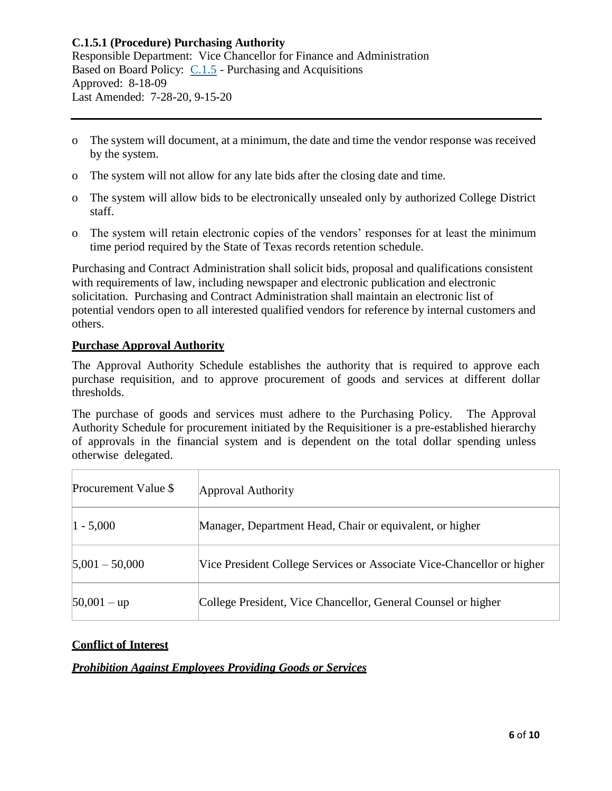Responsible Department: Vice Chancellor for Finance and Administration Based on Board Policy: [C.1.5](https://www.alamo.edu/siteassets/district/about-us/leadership/board-of-trustees/policies-pdfs/section-c/c.1.5-policy.pdf) - Purchasing and Acquisitions Approved: 8-18-09 Last Amended: 7-28-20, 9-15-20

- o The system will document, at a minimum, the date and time the vendor response was received by the system.
- o The system will not allow for any late bids after the closing date and time.
- o The system will allow bids to be electronically unsealed only by authorized College District staff.
- o The system will retain electronic copies of the vendors' responses for at least the minimum time period required by the State of Texas records retention schedule.

Purchasing and Contract Administration shall solicit bids, proposal and qualifications consistent with requirements of law, including newspaper and electronic publication and electronic solicitation. Purchasing and Contract Administration shall maintain an electronic list of potential vendors open to all interested qualified vendors for reference by internal customers and others.

### **Purchase Approval Authority**

The Approval Authority Schedule establishes the authority that is required to approve each purchase requisition, and to approve procurement of goods and services at different dollar thresholds.

The purchase of goods and services must adhere to the Purchasing Policy. The Approval Authority Schedule for procurement initiated by the Requisitioner is a pre-established hierarchy of approvals in the financial system and is dependent on the total dollar spending unless otherwise delegated.

| Procurement Value \$ | Approval Authority                                                     |
|----------------------|------------------------------------------------------------------------|
| $ 1 - 5,000 $        | Manager, Department Head, Chair or equivalent, or higher               |
| $5,001 - 50,000$     | Vice President College Services or Associate Vice-Chancellor or higher |
| $ 50,001 -$ up       | College President, Vice Chancellor, General Counsel or higher          |

# **Conflict of Interest**

# *Prohibition Against Employees Providing Goods or Services*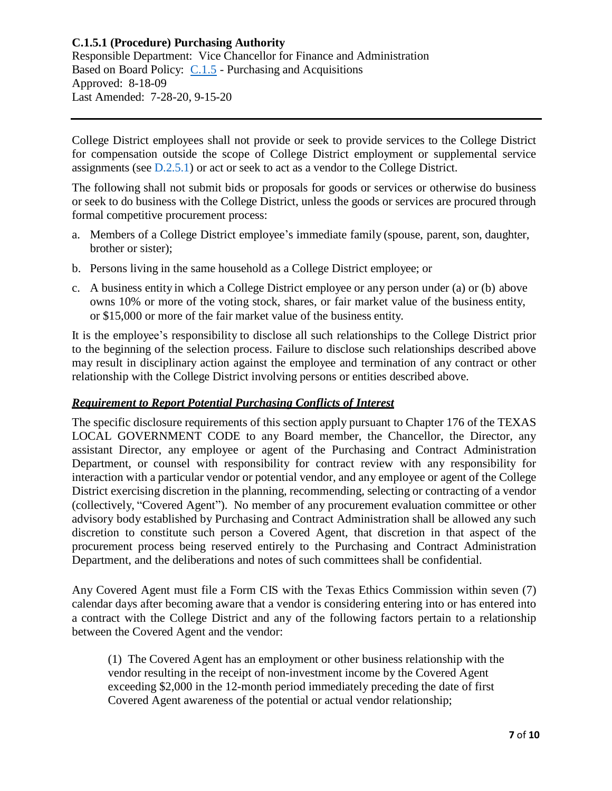Responsible Department: Vice Chancellor for Finance and Administration Based on Board Policy: [C.1.5](https://www.alamo.edu/siteassets/district/about-us/leadership/board-of-trustees/policies-pdfs/section-c/c.1.5-policy.pdf) - Purchasing and Acquisitions Approved: 8-18-09 Last Amended: 7-28-20, 9-15-20

College District employees shall not provide or seek to provide services to the College District for compensation outside the scope of College District employment or supplemental service assignments (see [D.2.5.1\)](https://www.alamo.edu/siteassets/district/about-us/leadership/board-of-trustees/policies-pdfs/section-d/d.2.5.1-procedure.pdf) or act or seek to act as a vendor to the College District.

The following shall not submit bids or proposals for goods or services or otherwise do business or seek to do business with the College District, unless the goods or services are procured through formal competitive procurement process:

- a. Members of a College District employee's immediate family (spouse, parent, son, daughter, brother or sister);
- b. Persons living in the same household as a College District employee; or
- c. A business entity in which a College District employee or any person under (a) or (b) above owns 10% or more of the voting stock, shares, or fair market value of the business entity, or \$15,000 or more of the fair market value of the business entity.

It is the employee's responsibility to disclose all such relationships to the College District prior to the beginning of the selection process. Failure to disclose such relationships described above may result in disciplinary action against the employee and termination of any contract or other relationship with the College District involving persons or entities described above.

### *Requirement to Report Potential Purchasing Conflicts of Interest*

The specific disclosure requirements of this section apply pursuant to Chapter 176 of the TEXAS LOCAL GOVERNMENT CODE to any Board member, the Chancellor, the Director, any assistant Director, any employee or agent of the Purchasing and Contract Administration Department, or counsel with responsibility for contract review with any responsibility for interaction with a particular vendor or potential vendor, and any employee or agent of the College District exercising discretion in the planning, recommending, selecting or contracting of a vendor (collectively, "Covered Agent"). No member of any procurement evaluation committee or other advisory body established by Purchasing and Contract Administration shall be allowed any such discretion to constitute such person a Covered Agent, that discretion in that aspect of the procurement process being reserved entirely to the Purchasing and Contract Administration Department, and the deliberations and notes of such committees shall be confidential.

Any Covered Agent must file a Form CIS with the Texas Ethics Commission within seven (7) calendar days after becoming aware that a vendor is considering entering into or has entered into a contract with the College District and any of the following factors pertain to a relationship between the Covered Agent and the vendor:

(1) The Covered Agent has an employment or other business relationship with the vendor resulting in the receipt of non-investment income by the Covered Agent exceeding \$2,000 in the 12-month period immediately preceding the date of first Covered Agent awareness of the potential or actual vendor relationship;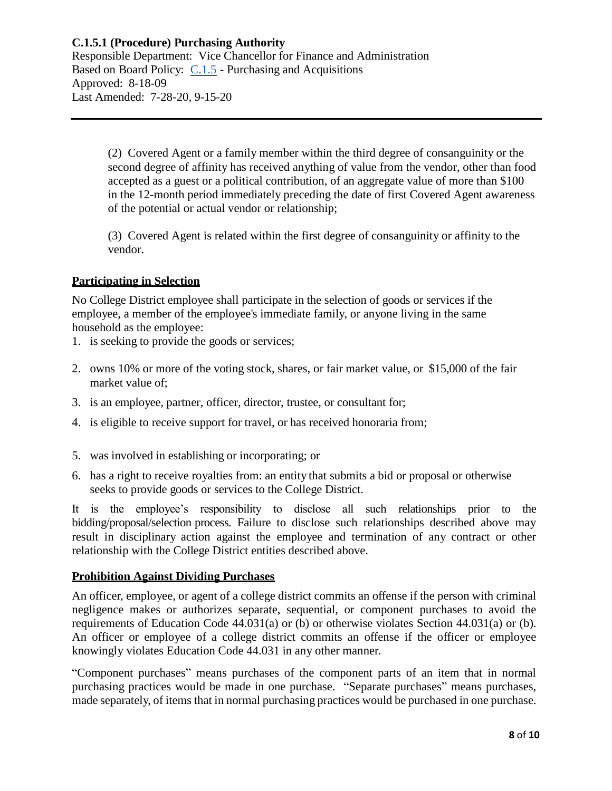Responsible Department: Vice Chancellor for Finance and Administration Based on Board Policy: [C.1.5](https://www.alamo.edu/siteassets/district/about-us/leadership/board-of-trustees/policies-pdfs/section-c/c.1.5-policy.pdf) - Purchasing and Acquisitions Approved: 8-18-09 Last Amended: 7-28-20, 9-15-20

> (2) Covered Agent or a family member within the third degree of consanguinity or the second degree of affinity has received anything of value from the vendor, other than food accepted as a guest or a political contribution, of an aggregate value of more than \$100 in the 12-month period immediately preceding the date of first Covered Agent awareness of the potential or actual vendor or relationship;

(3) Covered Agent is related within the first degree of consanguinity or affinity to the vendor.

# **Participating in Selection**

No College District employee shall participate in the selection of goods or services if the employee, a member of the employee's immediate family, or anyone living in the same household as the employee:

- 1. is seeking to provide the goods or services;
- 2. owns 10% or more of the voting stock, shares, or fair market value, or \$15,000 of the fair market value of;
- 3. is an employee, partner, officer, director, trustee, or consultant for;
- 4. is eligible to receive support for travel, or has received honoraria from;
- 5. was involved in establishing or incorporating; or
- 6. has a right to receive royalties from: an entity that submits a bid or proposal or otherwise seeks to provide goods or services to the College District.

It is the employee's responsibility to disclose all such relationships prior to the bidding/proposal/selection process. Failure to disclose such relationships described above may result in disciplinary action against the employee and termination of any contract or other relationship with the College District entities described above.

### **Prohibition Against Dividing Purchases**

An officer, employee, or agent of a college district commits an offense if the person with criminal negligence makes or authorizes separate, sequential, or component purchases to avoid the requirements of Education Code 44.031(a) or (b) or otherwise violates Section 44.031(a) or (b). An officer or employee of a college district commits an offense if the officer or employee knowingly violates Education Code 44.031 in any other manner.

"Component purchases" means purchases of the component parts of an item that in normal purchasing practices would be made in one purchase. "Separate purchases" means purchases, made separately, of items that in normal purchasing practices would be purchased in one purchase.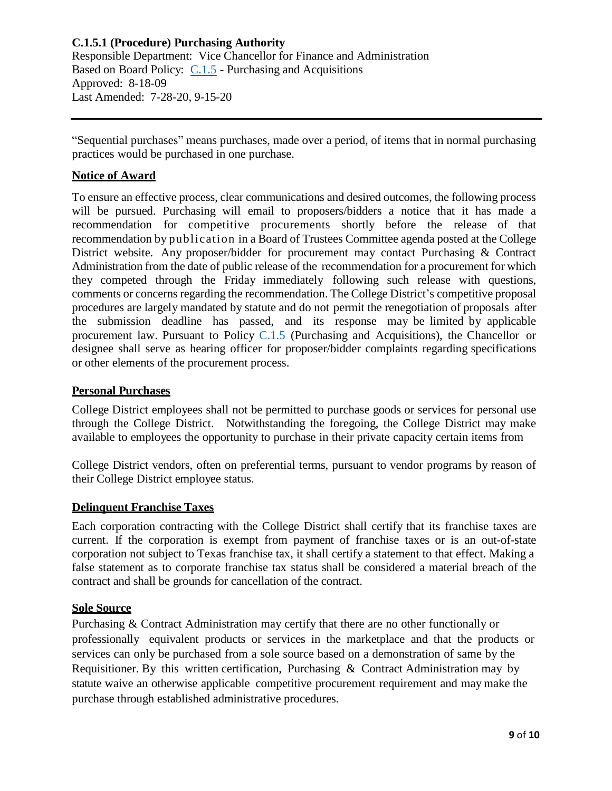Responsible Department: Vice Chancellor for Finance and Administration Based on Board Policy: [C.1.5](https://www.alamo.edu/siteassets/district/about-us/leadership/board-of-trustees/policies-pdfs/section-c/c.1.5-policy.pdf) - Purchasing and Acquisitions Approved: 8-18-09 Last Amended: 7-28-20, 9-15-20

"Sequential purchases" means purchases, made over a period, of items that in normal purchasing practices would be purchased in one purchase.

# **Notice of Award**

To ensure an effective process, clear communications and desired outcomes, the following process will be pursued. Purchasing will email to proposers/bidders a notice that it has made a recommendation for competitive procurements shortly before the release of that recommendation by publication in a Board of Trustees Committee agenda posted at the College District website. Any proposer/bidder for procurement may contact Purchasing & Contract Administration from the date of public release of the recommendation for a procurement for which they competed through the Friday immediately following such release with questions, comments or concerns regarding the recommendation. The College District's competitive proposal procedures are largely mandated by statute and do not permit the renegotiation of proposals after the submission deadline has passed, and its response may be limited by applicable procurement law. Pursuant to Policy [C.1.5](https://www.alamo.edu/siteassets/district/about-us/leadership/board-of-trustees/policies-pdfs/section-c/c.1.5-policy.pdf) (Purchasing and Acquisitions), the Chancellor or designee shall serve as hearing officer for proposer/bidder complaints regarding specifications or other elements of the procurement process.

## **Personal Purchases**

College District employees shall not be permitted to purchase goods or services for personal use through the College District. Notwithstanding the foregoing, the College District may make available to employees the opportunity to purchase in their private capacity certain items from

College District vendors, often on preferential terms, pursuant to vendor programs by reason of their College District employee status.

### **Delinquent Franchise Taxes**

Each corporation contracting with the College District shall certify that its franchise taxes are current. If the corporation is exempt from payment of franchise taxes or is an out-of-state corporation not subject to Texas franchise tax, it shall certify a statement to that effect. Making a false statement as to corporate franchise tax status shall be considered a material breach of the contract and shall be grounds for cancellation of the contract.

### **Sole Source**

Purchasing & Contract Administration may certify that there are no other functionally or professionally equivalent products or services in the marketplace and that the products or services can only be purchased from a sole source based on a demonstration of same by the Requisitioner. By this written certification, Purchasing & Contract Administration may by statute waive an otherwise applicable competitive procurement requirement and may make the purchase through established administrative procedures.